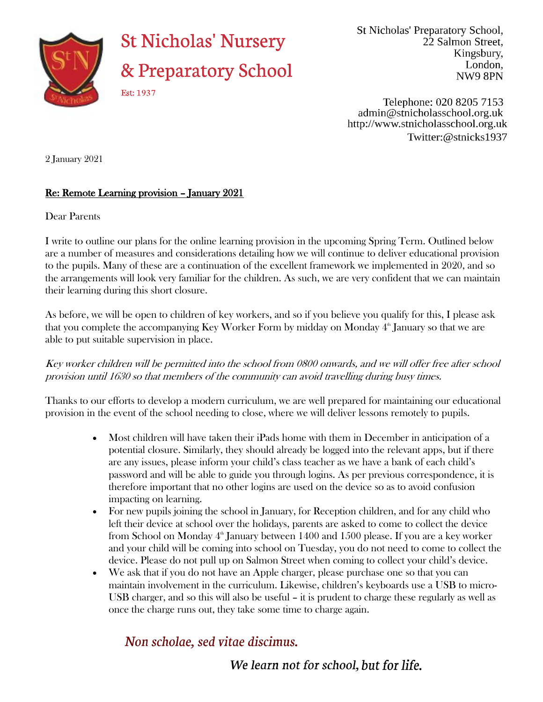

## **St Nicholas' Nursery** & Preparatory School

St Nicholas' Preparatory School, 22 Salmon Street. Kingsbury, London, NW98PN

Telephone: 020 8205 7153 admin@stnicholasschool.org.uk http://www.stnicholasschool.org.uk Twitter:@stnicks1937

Est: 1937

2 January 2021

## Re: Remote Learning provision – January 2021

Dear Parents

I write to outline our plans for the online learning provision in the upcoming Spring Term. Outlined below are a number of measures and considerations detailing how we will continue to deliver educational provision to the pupils. Many of these are a continuation of the excellent framework we implemented in 2020, and so the arrangements will look very familiar for the children. As such, we are very confident that we can maintain their learning during this short closure.

As before, we will be open to children of key workers, and so if you believe you qualify for this, I please ask that you complete the accompanying Key Worker Form by midday on Monday  $4^{\text{th}}$  January so that we are able to put suitable supervision in place.

Key worker children will be permitted into the school from 0800 onwards, and we will offer free after school provision until 1630 so that members of the community can avoid travelling during busy times.

Thanks to our efforts to develop a modern curriculum, we are well prepared for maintaining our educational provision in the event of the school needing to close, where we will deliver lessons remotely to pupils.

- Most children will have taken their iPads home with them in December in anticipation of a potential closure. Similarly, they should already be logged into the relevant apps, but if there are any issues, please inform your child's class teacher as we have a bank of each child's password and will be able to guide you through logins. As per previous correspondence, it is therefore important that no other logins are used on the device so as to avoid confusion impacting on learning.
- For new pupils joining the school in January, for Reception children, and for any child who left their device at school over the holidays, parents are asked to come to collect the device from School on Monday  $4^{\text{th}}$  January between 1400 and 1500 please. If you are a key worker and your child will be coming into school on Tuesday, you do not need to come to collect the device. Please do not pull up on Salmon Street when coming to collect your child's device.
- We ask that if you do not have an Apple charger, please purchase one so that you can maintain involvement in the curriculum. Likewise, children's keyboards use a USB to micro-USB charger, and so this will also be useful – it is prudent to charge these regularly as well as once the charge runs out, they take some time to charge again.

## Non scholae, sed vitae discimus.

We learn not for school, but for life.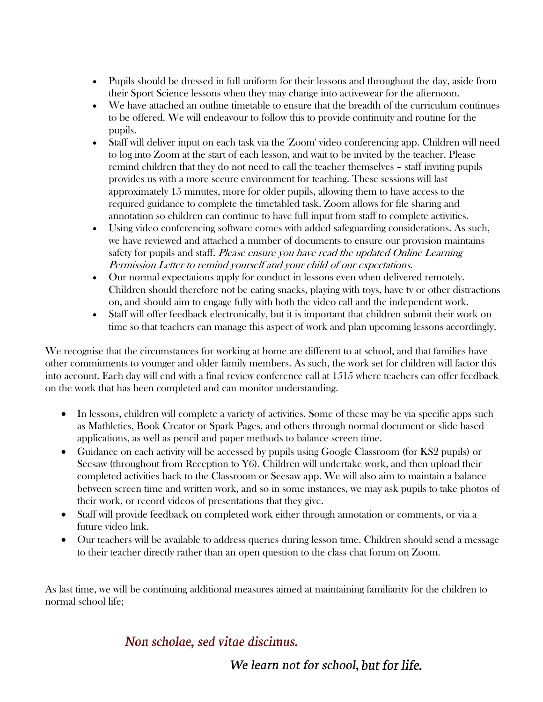- Pupils should be dressed in full uniform for their lessons and throughout the day, aside from their Sport Science lessons when they may change into activewear for the afternoon.
- We have attached an outline timetable to ensure that the breadth of the curriculum continues to be offered. We will endeavour to follow this to provide continuity and routine for the pupils.
- Staff will deliver input on each task via the 'Zoom' video conferencing app. Children will need to log into Zoom at the start of each lesson, and wait to be invited by the teacher. Please remind children that they do not need to call the teacher themselves – staff inviting pupils provides us with a more secure environment for teaching. These sessions will last approximately 15 minutes, more for older pupils, allowing them to have access to the required guidance to complete the timetabled task. Zoom allows for file sharing and annotation so children can continue to have full input from staff to complete activities.
- Using video conferencing software comes with added safeguarding considerations. As such, we have reviewed and attached a number of documents to ensure our provision maintains safety for pupils and staff. Please ensure you have read the updated Online Learning Permission Letter to remind yourself and your child of our expectations.
- Our normal expectations apply for conduct in lessons even when delivered remotely. Children should therefore not be eating snacks, playing with toys, have tv or other distractions on, and should aim to engage fully with both the video call and the independent work.
- Staff will offer feedback electronically, but it is important that children submit their work on time so that teachers can manage this aspect of work and plan upcoming lessons accordingly.

We recognise that the circumstances for working at home are different to at school, and that families have other commitments to younger and older family members. As such, the work set for children will factor this into account. Each day will end with a final review conference call at 1515 where teachers can offer feedback on the work that has been completed and can monitor understanding.

- In lessons, children will complete a variety of activities. Some of these may be via specific apps such as Mathletics, Book Creator or Spark Pages, and others through normal document or slide based applications, as well as pencil and paper methods to balance screen time.
- Guidance on each activity will be accessed by pupils using Google Classroom (for KS2 pupils) or Seesaw (throughout from Reception to Y6). Children will undertake work, and then upload their completed activities back to the Classroom or Seesaw app. We will also aim to maintain a balance between screen time and written work, and so in some instances, we may ask pupils to take photos of their work, or record videos of presentations that they give.
- Staff will provide feedback on completed work either through annotation or comments, or via a future video link.
- Our teachers will be available to address queries during lesson time. Children should send a message to their teacher directly rather than an open question to the class chat forum on Zoom.

As last time, we will be continuing additional measures aimed at maintaining familiarity for the children to normal school life;

## Non scholae, sed vitae discimus.

We learn not for school, but for life.